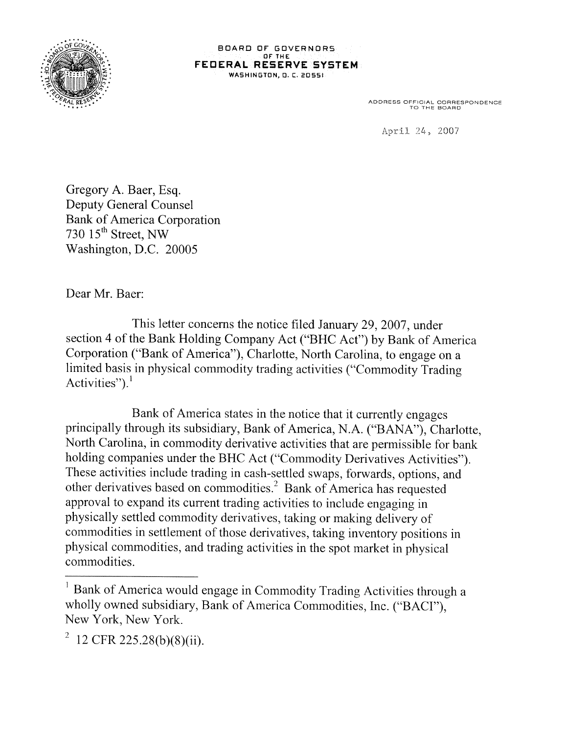

**BOARD OF 3OVERNORS OF TH FEDERAL RESERVE SYSTEM WASHINGTON, 0. C. 20551**

**ADDRESS OFFCAL CORRESPONDENCE TO THE BOARD**

April 24, 2007

Gregory A. Baer, Esq. Deputy General Counsel Bank of America Corporation 730  $15<sup>th</sup>$  Street, NW Washington, D.C. 20005

Dear Mr. Baer:

This letter concerns the notice filed January 29, 2007, under section 4 of the Bank Holding Company Act ("BHC Act") by Bank of America Corporation ("Bank of America"), Charlotte, North Carolina, to engage on a limited basis in physical commodity trading activities ("Commodity Trading Activities").<sup>1</sup>

Bank of America states in the notice that it currently engages principally through its subsidiary, Bank of America, N.A. ("BANA"), Charlotte, North Carolina, in commodity derivative activities that are permissible for bank holding companies under the BHC Act ("Commodity Derivatives Activities"). These activities include trading in cash-settled swaps, forwards, options, and other derivatives based on commodities.2 Bank of America has requested approval to expand its current trading activities to include engaging in physically settled commodity derivatives, taking or making delivery of commodities in settlement of those derivatives, taking inventory positions in physical commodities, and trading activities in the spot market in physical commodities.

<sup>&</sup>lt;sup>1</sup> Bank of America would engage in Commodity Trading Activities through a wholly owned subsidiary, Bank of America Commodities, Inc. ("BACI"), New York, New York.

 $^{2}$  12 CFR 225.28(b)(8)(ii).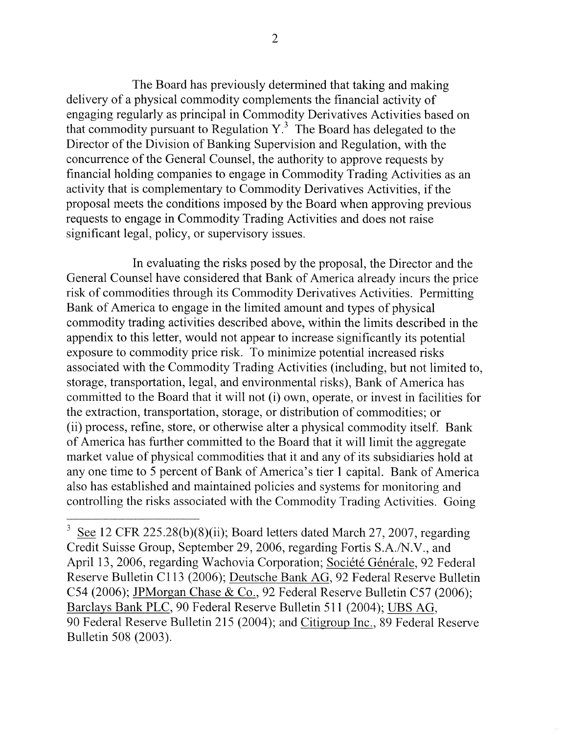The Board has previously determined that taking and making delivery of a physical commodity complements the financial activity of engaging regularly as principal in Commodity Derivatives Activities based on that commodity pursuant to Regulation *Y.3* The Board has delegated to the Director of the Division of Banking Supervision and Regulation, with the concurrence of the General Counsel, the authority to approve requests by financial holding companies to engage in Commodity Trading Activities as an activity that is complementary to Commodity Derivatives Activities, if the proposal meets the conditions imposed by the Board when approving previous requests to engage in Commodity Trading Activities and does not raise significant legal, policy, or supervisory issues.

In evaluating the risks posed by the proposal, the Director and the General Counsel have considered that Bank of America already incurs the price risk of commodities through its Commodity Derivatives Activities. Permitting Bank of America to engage in the limited amount and types of physical commodity trading activities described above, within the limits described in the appendix to this letter, would not appear to increase significantly its potential exposure to commodity price risk. To minimize potential increased risks associated with the Commodity Trading Activities (including, but not limited to, storage, transportation, legal, and environmental risks), Bank of America has committed to the Board that it will not (1) own, operate, or invest in facilities for the extraction, transportation, storage, or distribution of commodities; or (ii) process, refine, store, or otherwise alter a physical commodity itself. Bank of America has further committed to the Board that it will limit the aggregate market value of physical commodities that it and any of its subsidiaries hold at any one time to *5* percent of Bank of America's tier 1 capital. Bank of America also has established and maintained policies and systems for monitoring and controlling the risks associated with the Commodity Trading Activities. Going

See 12 CFR 225.28(b)(8)(ii); Board letters dated March 27, 2007, regarding Credit Suisse Group, September 29, 2006, regarding Fortis S.A./N.V., and April 13, 2006, regarding Wachovia Corporation; Société Générale, 92 Federal Reserve Bulletin Cl 13 (2006); Deutsche Bank AG, 92 Federal Reserve Bulletin C54 (2006); JPMorgan Chase & Co., 92 Federal Reserve Bulletin *C57* (2006); Barclays Bank PLC, 90 Federal Reserve Bulletin 511(2004); LIBS AG, 90 Federal Reserve Bulletin 215 (2004); and Citigroup Inc., 89 Federal Reserve Bulletin 508 (2003).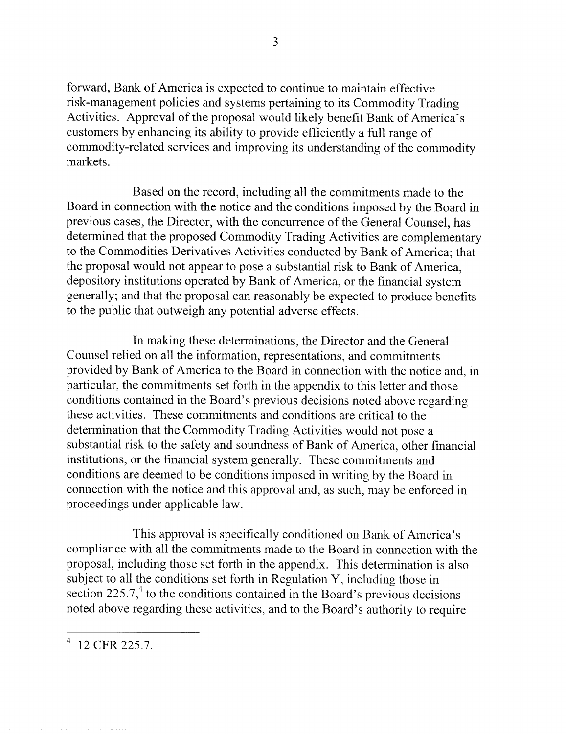forward, Bank of America is expected to continue to maintain effective risk-management policies and systems pertaining to its Commodity Trading Activities. Approval of the proposal would likely benefit Bank of America's customers by enhancing its ability to provide efficiently a full range of commodity-related services and improving its understanding of the commodity markets.

Based on the record, including all the commitments made to the Board in connection with the notice and the conditions imposed by the Board in previous cases, the Director, with the concurrence of the General Counsel, has determined that the proposed Commodity Trading Activities are complementary to the Commodities Derivatives Activities conducted by Bank of America; that the proposal would not appear to pose a substantial risk to Bank of America, depository institutions operated by Bank of America, or the financial system generally; and that the proposal can reasonably be expected to produce benefits to the public that outweigh any potential adverse effects.

In making these determinations, the Director and the General Counsel relied on all the information, representations, and commitments provided by Bank of America to the Board in connection with the notice and, in particular, the commitments set forth in the appendix to this letter and those conditions contained in the Board's previous decisions noted above regarding these activities. These commitments and conditions are critical to the determination that the Commodity Trading Activities would not pose a substantial risk to the safety and soundness of Bank of America, other financial institutions, or the financial system generally. These commitments and conditions are deemed to be conditions imposed in writing by the Board in connection with the notice and this approval and, as such, may be enforced in proceedings under applicable law.

This approval is specifically conditioned on Bank of America's compliance with all the commitments made to the Board in connection with the proposal, including those set forth in the appendix. This determination is also subject to all the conditions set forth in Regulation Y, including those in section 225.7, $4$  to the conditions contained in the Board's previous decisions noted above regarding these activities, and to the Board's authority to require

<sup>12</sup> CFR 225.7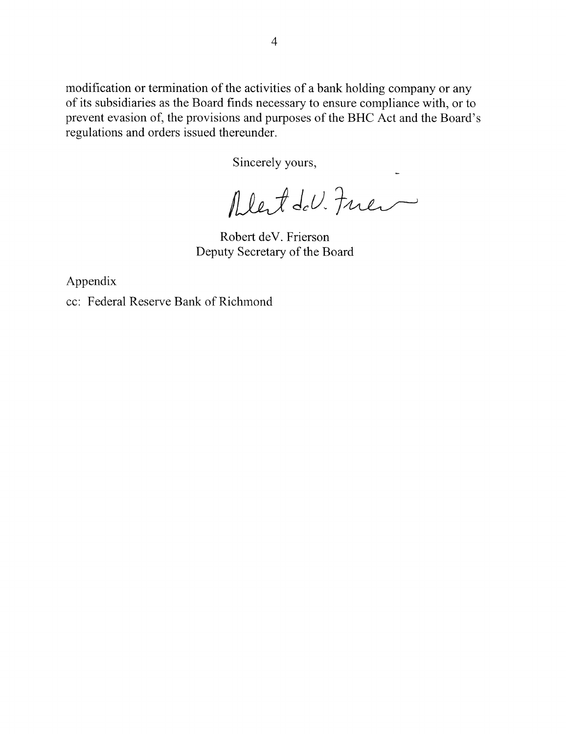modification or termination of the activities of a bank holding company or any of its subsidiaries as the Board finds necessary to ensure compliance with, or to prevent evasion of, the provisions and purposes of the BHC Act and the Board's regulations and orders issued thereunder.

Sincerely yours,

Alet del. Fuer

Robert deV. Frierson Deputy Secretary of the Board

Appendix

cc: Federal Reserve Bank of Richmond